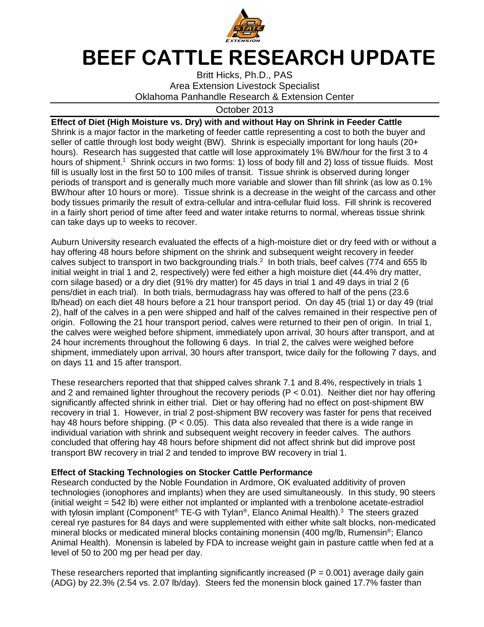

## **BEEF CATTLE RESEARCH UPDATE**

Britt Hicks, Ph.D., PAS Area Extension Livestock Specialist Oklahoma Panhandle Research & Extension Center

## October 2013

**Effect of Diet (High Moisture vs. Dry) with and without Hay on Shrink in Feeder Cattle**  Shrink is a major factor in the marketing of feeder cattle representing a cost to both the buyer and seller of cattle through lost body weight (BW). Shrink is especially important for long hauls (20+ hours). Research has suggested that cattle will lose approximately 1% BW/hour for the first 3 to 4 hours of shipment.<sup>1</sup> Shrink occurs in two forms: 1) loss of body fill and 2) loss of tissue fluids. Most fill is usually lost in the first 50 to 100 miles of transit. Tissue shrink is observed during longer periods of transport and is generally much more variable and slower than fill shrink (as low as 0.1% BW/hour after 10 hours or more). Tissue shrink is a decrease in the weight of the carcass and other body tissues primarily the result of extra-cellular and intra-cellular fluid loss. Fill shrink is recovered in a fairly short period of time after feed and water intake returns to normal, whereas tissue shrink can take days up to weeks to recover.

Auburn University research evaluated the effects of a high-moisture diet or dry feed with or without a hay offering 48 hours before shipment on the shrink and subsequent weight recovery in feeder calves subject to transport in two backgrounding trials.<sup>2</sup> In both trials, beef calves (774 and 655 lb initial weight in trial 1 and 2, respectively) were fed either a high moisture diet (44.4% dry matter, corn silage based) or a dry diet (91% dry matter) for 45 days in trial 1 and 49 days in trial 2 (6 pens/diet in each trial). In both trials, bermudagrass hay was offered to half of the pens (23.6 lb/head) on each diet 48 hours before a 21 hour transport period. On day 45 (trial 1) or day 49 (trial 2), half of the calves in a pen were shipped and half of the calves remained in their respective pen of origin. Following the 21 hour transport period, calves were returned to their pen of origin. In trial 1, the calves were weighed before shipment, immediately upon arrival, 30 hours after transport, and at 24 hour increments throughout the following 6 days. In trial 2, the calves were weighed before shipment, immediately upon arrival, 30 hours after transport, twice daily for the following 7 days, and on days 11 and 15 after transport.

These researchers reported that that shipped calves shrank 7.1 and 8.4%, respectively in trials 1 and 2 and remained lighter throughout the recovery periods (P < 0.01). Neither diet nor hay offering significantly affected shrink in either trial. Diet or hay offering had no effect on post-shipment BW recovery in trial 1. However, in trial 2 post-shipment BW recovery was faster for pens that received hay 48 hours before shipping. (P < 0.05). This data also revealed that there is a wide range in individual variation with shrink and subsequent weight recovery in feeder calves. The authors concluded that offering hay 48 hours before shipment did not affect shrink but did improve post transport BW recovery in trial 2 and tended to improve BW recovery in trial 1.

## **Effect of Stacking Technologies on Stocker Cattle Performance**

Research conducted by the Noble Foundation in Ardmore, OK evaluated additivity of proven technologies (ionophores and implants) when they are used simultaneously. In this study, 90 steers (initial weight = 542 lb) were either not implanted or implanted with a trenbolone acetate-estradiol with tylosin implant (Component® TE-G with Tylan®, Elanco Animal Health).<sup>3</sup> The steers grazed cereal rye pastures for 84 days and were supplemented with either white salt blocks, non-medicated mineral blocks or medicated mineral blocks containing monensin (400 mg/lb, Rumensin®; Elanco Animal Health). Monensin is labeled by FDA to increase weight gain in pasture cattle when fed at a level of 50 to 200 mg per head per day.

These researchers reported that implanting significantly increased ( $P = 0.001$ ) average daily gain (ADG) by 22.3% (2.54 vs. 2.07 lb/day). Steers fed the monensin block gained 17.7% faster than